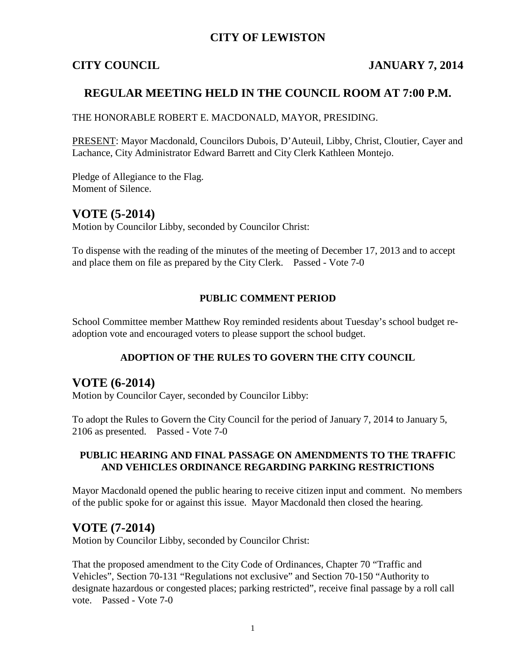## **CITY OF LEWISTON**

## **CITY COUNCIL JANUARY 7, 2014**

## **REGULAR MEETING HELD IN THE COUNCIL ROOM AT 7:00 P.M.**

THE HONORABLE ROBERT E. MACDONALD, MAYOR, PRESIDING.

PRESENT: Mayor Macdonald, Councilors Dubois, D'Auteuil, Libby, Christ, Cloutier, Cayer and Lachance, City Administrator Edward Barrett and City Clerk Kathleen Montejo.

Pledge of Allegiance to the Flag. Moment of Silence.

## **VOTE (5-2014)**

Motion by Councilor Libby, seconded by Councilor Christ:

To dispense with the reading of the minutes of the meeting of December 17, 2013 and to accept and place them on file as prepared by the City Clerk. Passed - Vote 7-0

#### **PUBLIC COMMENT PERIOD**

School Committee member Matthew Roy reminded residents about Tuesday's school budget readoption vote and encouraged voters to please support the school budget.

#### **ADOPTION OF THE RULES TO GOVERN THE CITY COUNCIL**

## **VOTE (6-2014)**

Motion by Councilor Cayer, seconded by Councilor Libby:

To adopt the Rules to Govern the City Council for the period of January 7, 2014 to January 5, 2106 as presented. Passed - Vote 7-0

#### **PUBLIC HEARING AND FINAL PASSAGE ON AMENDMENTS TO THE TRAFFIC AND VEHICLES ORDINANCE REGARDING PARKING RESTRICTIONS**

Mayor Macdonald opened the public hearing to receive citizen input and comment. No members of the public spoke for or against this issue. Mayor Macdonald then closed the hearing.

## **VOTE (7-2014)**

Motion by Councilor Libby, seconded by Councilor Christ:

That the proposed amendment to the City Code of Ordinances, Chapter 70 "Traffic and Vehicles", Section 70-131 "Regulations not exclusive" and Section 70-150 "Authority to designate hazardous or congested places; parking restricted", receive final passage by a roll call vote. Passed - Vote 7-0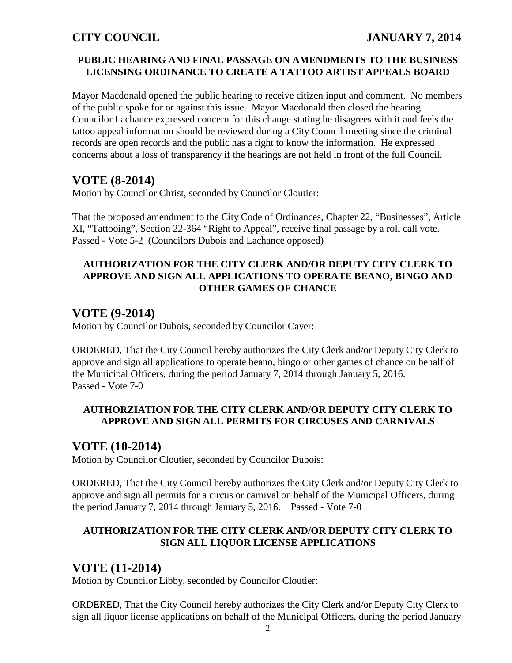### **PUBLIC HEARING AND FINAL PASSAGE ON AMENDMENTS TO THE BUSINESS LICENSING ORDINANCE TO CREATE A TATTOO ARTIST APPEALS BOARD**

Mayor Macdonald opened the public hearing to receive citizen input and comment. No members of the public spoke for or against this issue. Mayor Macdonald then closed the hearing. Councilor Lachance expressed concern for this change stating he disagrees with it and feels the tattoo appeal information should be reviewed during a City Council meeting since the criminal records are open records and the public has a right to know the information. He expressed concerns about a loss of transparency if the hearings are not held in front of the full Council.

# **VOTE (8-2014)**

Motion by Councilor Christ, seconded by Councilor Cloutier:

That the proposed amendment to the City Code of Ordinances, Chapter 22, "Businesses", Article XI, "Tattooing", Section 22-364 "Right to Appeal", receive final passage by a roll call vote. Passed - Vote 5-2 (Councilors Dubois and Lachance opposed)

#### **AUTHORIZATION FOR THE CITY CLERK AND/OR DEPUTY CITY CLERK TO APPROVE AND SIGN ALL APPLICATIONS TO OPERATE BEANO, BINGO AND OTHER GAMES OF CHANCE**

## **VOTE (9-2014)**

Motion by Councilor Dubois, seconded by Councilor Cayer:

ORDERED, That the City Council hereby authorizes the City Clerk and/or Deputy City Clerk to approve and sign all applications to operate beano, bingo or other games of chance on behalf of the Municipal Officers, during the period January 7, 2014 through January 5, 2016. Passed - Vote 7-0

### **AUTHORZIATION FOR THE CITY CLERK AND/OR DEPUTY CITY CLERK TO APPROVE AND SIGN ALL PERMITS FOR CIRCUSES AND CARNIVALS**

## **VOTE (10-2014)**

Motion by Councilor Cloutier, seconded by Councilor Dubois:

ORDERED, That the City Council hereby authorizes the City Clerk and/or Deputy City Clerk to approve and sign all permits for a circus or carnival on behalf of the Municipal Officers, during the period January 7, 2014 through January 5, 2016. Passed - Vote 7-0

### **AUTHORIZATION FOR THE CITY CLERK AND/OR DEPUTY CITY CLERK TO SIGN ALL LIQUOR LICENSE APPLICATIONS**

# **VOTE (11-2014)**

Motion by Councilor Libby, seconded by Councilor Cloutier:

ORDERED, That the City Council hereby authorizes the City Clerk and/or Deputy City Clerk to sign all liquor license applications on behalf of the Municipal Officers, during the period January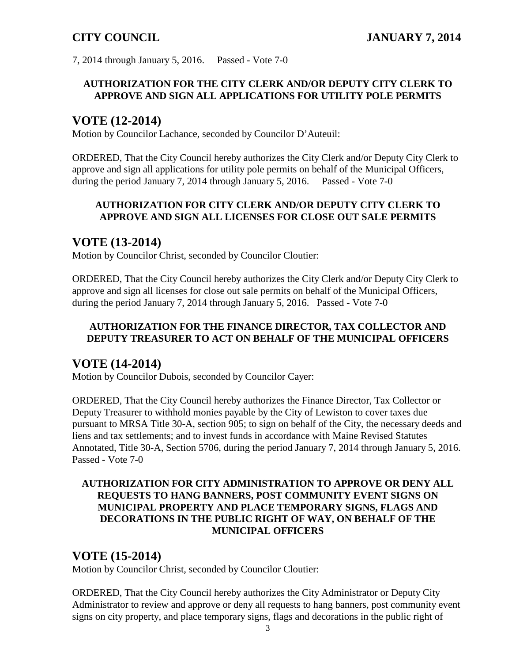7, 2014 through January 5, 2016. Passed - Vote 7-0

### **AUTHORIZATION FOR THE CITY CLERK AND/OR DEPUTY CITY CLERK TO APPROVE AND SIGN ALL APPLICATIONS FOR UTILITY POLE PERMITS**

# **VOTE (12-2014)**

Motion by Councilor Lachance, seconded by Councilor D'Auteuil:

ORDERED, That the City Council hereby authorizes the City Clerk and/or Deputy City Clerk to approve and sign all applications for utility pole permits on behalf of the Municipal Officers, during the period January 7, 2014 through January 5, 2016. Passed - Vote 7-0

## **AUTHORIZATION FOR CITY CLERK AND/OR DEPUTY CITY CLERK TO APPROVE AND SIGN ALL LICENSES FOR CLOSE OUT SALE PERMITS**

## **VOTE (13-2014)**

Motion by Councilor Christ, seconded by Councilor Cloutier:

ORDERED, That the City Council hereby authorizes the City Clerk and/or Deputy City Clerk to approve and sign all licenses for close out sale permits on behalf of the Municipal Officers, during the period January 7, 2014 through January 5, 2016. Passed - Vote 7-0

### **AUTHORIZATION FOR THE FINANCE DIRECTOR, TAX COLLECTOR AND DEPUTY TREASURER TO ACT ON BEHALF OF THE MUNICIPAL OFFICERS**

# **VOTE (14-2014)**

Motion by Councilor Dubois, seconded by Councilor Cayer:

ORDERED, That the City Council hereby authorizes the Finance Director, Tax Collector or Deputy Treasurer to withhold monies payable by the City of Lewiston to cover taxes due pursuant to MRSA Title 30-A, section 905; to sign on behalf of the City, the necessary deeds and liens and tax settlements; and to invest funds in accordance with Maine Revised Statutes Annotated, Title 30-A, Section 5706, during the period January 7, 2014 through January 5, 2016. Passed - Vote 7-0

### **AUTHORIZATION FOR CITY ADMINISTRATION TO APPROVE OR DENY ALL REQUESTS TO HANG BANNERS, POST COMMUNITY EVENT SIGNS ON MUNICIPAL PROPERTY AND PLACE TEMPORARY SIGNS, FLAGS AND DECORATIONS IN THE PUBLIC RIGHT OF WAY, ON BEHALF OF THE MUNICIPAL OFFICERS**

# **VOTE (15-2014)**

Motion by Councilor Christ, seconded by Councilor Cloutier:

ORDERED, That the City Council hereby authorizes the City Administrator or Deputy City Administrator to review and approve or deny all requests to hang banners, post community event signs on city property, and place temporary signs, flags and decorations in the public right of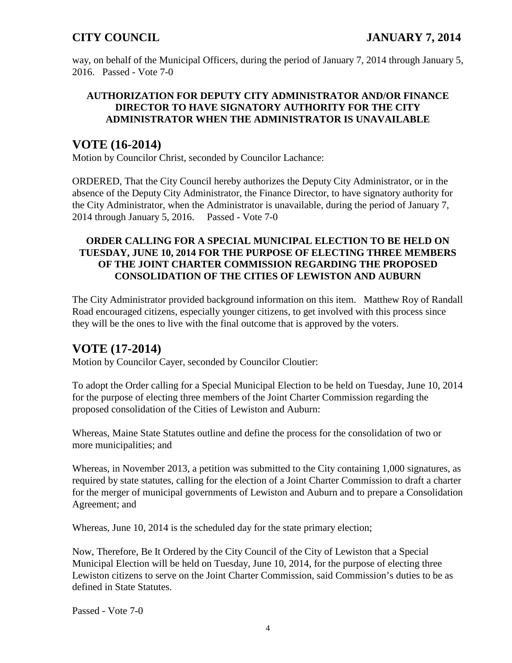way, on behalf of the Municipal Officers, during the period of January 7, 2014 through January 5, 2016. Passed - Vote 7-0

### **AUTHORIZATION FOR DEPUTY CITY ADMINISTRATOR AND/OR FINANCE DIRECTOR TO HAVE SIGNATORY AUTHORITY FOR THE CITY ADMINISTRATOR WHEN THE ADMINISTRATOR IS UNAVAILABLE**

## **VOTE (16-2014)**

Motion by Councilor Christ, seconded by Councilor Lachance:

ORDERED, That the City Council hereby authorizes the Deputy City Administrator, or in the absence of the Deputy City Administrator, the Finance Director, to have signatory authority for the City Administrator, when the Administrator is unavailable, during the period of January 7, 2014 through January 5, 2016. Passed - Vote 7-0

### **ORDER CALLING FOR A SPECIAL MUNICIPAL ELECTION TO BE HELD ON TUESDAY, JUNE 10, 2014 FOR THE PURPOSE OF ELECTING THREE MEMBERS OF THE JOINT CHARTER COMMISSION REGARDING THE PROPOSED CONSOLIDATION OF THE CITIES OF LEWISTON AND AUBURN**

The City Administrator provided background information on this item. Matthew Roy of Randall Road encouraged citizens, especially younger citizens, to get involved with this process since they will be the ones to live with the final outcome that is approved by the voters.

# **VOTE (17-2014)**

Motion by Councilor Cayer, seconded by Councilor Cloutier:

To adopt the Order calling for a Special Municipal Election to be held on Tuesday, June 10, 2014 for the purpose of electing three members of the Joint Charter Commission regarding the proposed consolidation of the Cities of Lewiston and Auburn:

Whereas, Maine State Statutes outline and define the process for the consolidation of two or more municipalities; and

Whereas, in November 2013, a petition was submitted to the City containing 1,000 signatures, as required by state statutes, calling for the election of a Joint Charter Commission to draft a charter for the merger of municipal governments of Lewiston and Auburn and to prepare a Consolidation Agreement; and

Whereas, June 10, 2014 is the scheduled day for the state primary election;

Now, Therefore, Be It Ordered by the City Council of the City of Lewiston that a Special Municipal Election will be held on Tuesday, June 10, 2014, for the purpose of electing three Lewiston citizens to serve on the Joint Charter Commission, said Commission's duties to be as defined in State Statutes.

Passed - Vote 7-0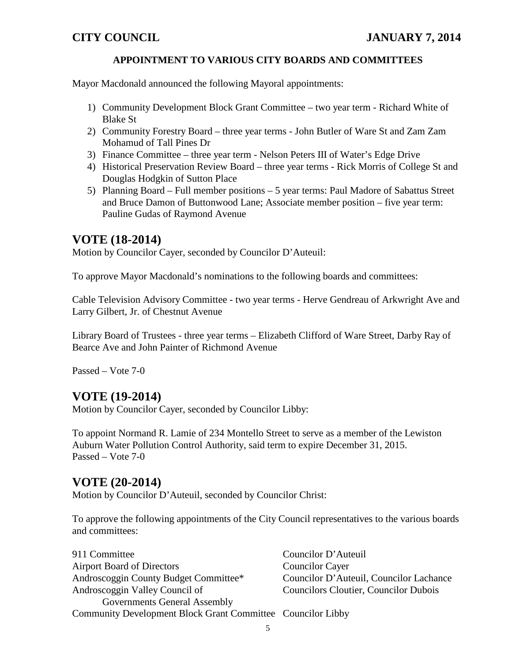### **APPOINTMENT TO VARIOUS CITY BOARDS AND COMMITTEES**

Mayor Macdonald announced the following Mayoral appointments:

- 1) Community Development Block Grant Committee two year term Richard White of Blake St
- 2) Community Forestry Board three year terms John Butler of Ware St and Zam Zam Mohamud of Tall Pines Dr
- 3) Finance Committee three year term Nelson Peters III of Water's Edge Drive
- 4) Historical Preservation Review Board three year terms Rick Morris of College St and Douglas Hodgkin of Sutton Place
- 5) Planning Board Full member positions 5 year terms: Paul Madore of Sabattus Street and Bruce Damon of Buttonwood Lane; Associate member position – five year term: Pauline Gudas of Raymond Avenue

## **VOTE (18-2014)**

Motion by Councilor Cayer, seconded by Councilor D'Auteuil:

To approve Mayor Macdonald's nominations to the following boards and committees:

Cable Television Advisory Committee - two year terms - Herve Gendreau of Arkwright Ave and Larry Gilbert, Jr. of Chestnut Avenue

Library Board of Trustees - three year terms – Elizabeth Clifford of Ware Street, Darby Ray of Bearce Ave and John Painter of Richmond Avenue

Passed – Vote 7-0

# **VOTE (19-2014)**

Motion by Councilor Cayer, seconded by Councilor Libby:

To appoint Normand R. Lamie of 234 Montello Street to serve as a member of the Lewiston Auburn Water Pollution Control Authority, said term to expire December 31, 2015. Passed – Vote 7-0

## **VOTE (20-2014)**

Motion by Councilor D'Auteuil, seconded by Councilor Christ:

To approve the following appointments of the City Council representatives to the various boards and committees:

| 911 Committee                                               | Councilor D'Auteuil                          |
|-------------------------------------------------------------|----------------------------------------------|
| <b>Airport Board of Directors</b>                           | <b>Councilor Cayer</b>                       |
| Androscoggin County Budget Committee*                       | Councilor D'Auteuil, Councilor Lachance      |
| Androscoggin Valley Council of                              | <b>Councilors Cloutier, Councilor Dubois</b> |
| <b>Governments General Assembly</b>                         |                                              |
| Community Development Block Grant Committee Councilor Libby |                                              |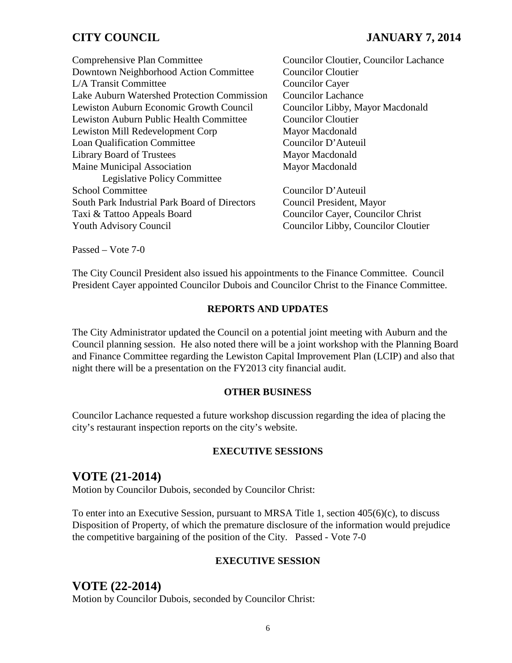## **CITY COUNCIL JANUARY 7, 2014**

Comprehensive Plan Committee Councilor Cloutier, Councilor Lachance Downtown Neighborhood Action Committee Councilor Cloutier L/A Transit Committee Councilor Cayer Lake Auburn Watershed Protection Commission Councilor Lachance Lewiston Auburn Economic Growth Council Councilor Libby, Mayor Macdonald Lewiston Auburn Public Health Committee Councilor Cloutier Lewiston Mill Redevelopment Corp Mayor Macdonald Loan Qualification Committee Councilor D'Auteuil Library Board of Trustees Mayor Macdonald Maine Municipal Association Mayor Macdonald Legislative Policy Committee School Committee Councilor D'Auteuil South Park Industrial Park Board of Directors Council President, Mayor Taxi & Tattoo Appeals Board Councilor Cayer, Councilor Christ Youth Advisory Council Councilor Councilor Libby, Councilor Cloutier

Passed – Vote 7-0

The City Council President also issued his appointments to the Finance Committee. Council President Cayer appointed Councilor Dubois and Councilor Christ to the Finance Committee.

#### **REPORTS AND UPDATES**

The City Administrator updated the Council on a potential joint meeting with Auburn and the Council planning session. He also noted there will be a joint workshop with the Planning Board and Finance Committee regarding the Lewiston Capital Improvement Plan (LCIP) and also that night there will be a presentation on the FY2013 city financial audit.

#### **OTHER BUSINESS**

Councilor Lachance requested a future workshop discussion regarding the idea of placing the city's restaurant inspection reports on the city's website.

#### **EXECUTIVE SESSIONS**

## **VOTE (21-2014)**

Motion by Councilor Dubois, seconded by Councilor Christ:

To enter into an Executive Session, pursuant to MRSA Title 1, section 405(6)(c), to discuss Disposition of Property, of which the premature disclosure of the information would prejudice the competitive bargaining of the position of the City. Passed - Vote 7-0

#### **EXECUTIVE SESSION**

## **VOTE (22-2014)**

Motion by Councilor Dubois, seconded by Councilor Christ: